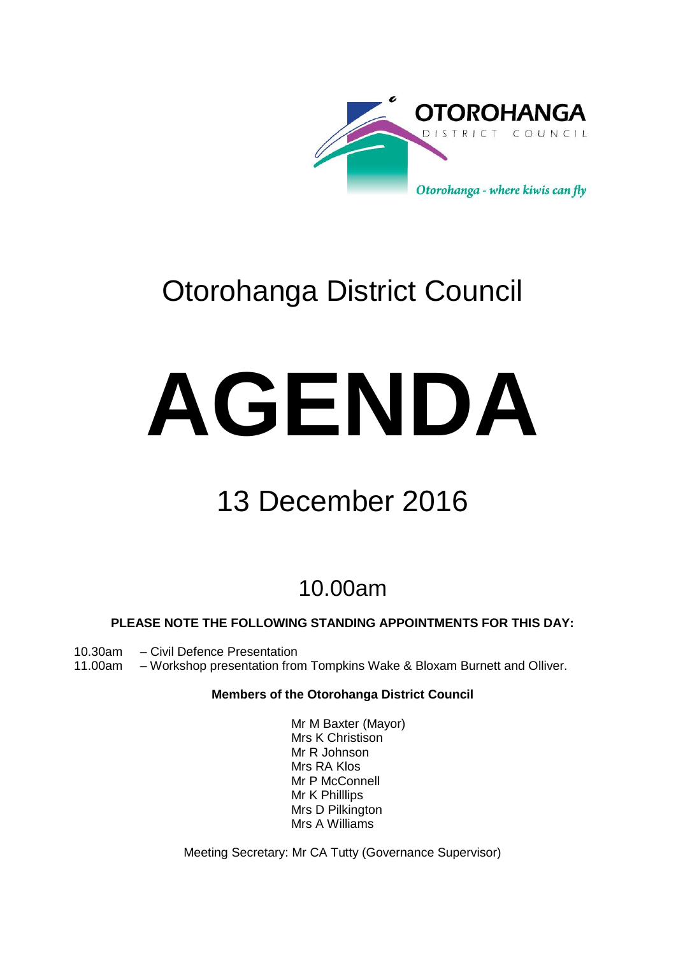

# Otorohanga District Council

# **AGENDA**

# 13 December 2016

# 10.00am

### **PLEASE NOTE THE FOLLOWING STANDING APPOINTMENTS FOR THIS DAY:**

- 10.30am Civil Defence Presentation
- 11.00am Workshop presentation from Tompkins Wake & Bloxam Burnett and Olliver.

#### **Members of the Otorohanga District Council**

Mr M Baxter (Mayor) Mrs K Christison Mr R Johnson Mrs RA Klos Mr P McConnell Mr K Philllips Mrs D Pilkington Mrs A Williams

Meeting Secretary: Mr CA Tutty (Governance Supervisor)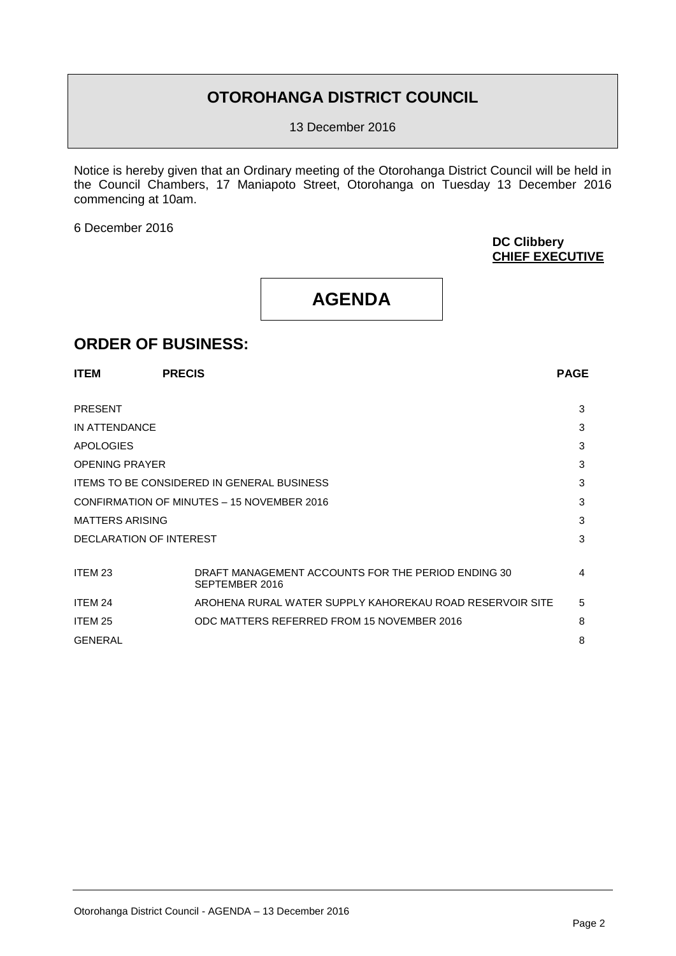## **OTOROHANGA DISTRICT COUNCIL**

13 December 2016

Notice is hereby given that an Ordinary meeting of the Otorohanga District Council will be held in the Council Chambers, 17 Maniapoto Street, Otorohanga on Tuesday 13 December 2016 commencing at 10am.

6 December 2016

**DC Clibbery CHIEF EXECUTIVE**

## **AGENDA**

#### **ORDER OF BUSINESS:**

| <b>ITEM</b>                                       | <b>PRECIS</b>                                                        | <b>PAGE</b> |
|---------------------------------------------------|----------------------------------------------------------------------|-------------|
| <b>PRESENT</b>                                    |                                                                      | 3           |
| IN ATTENDANCE                                     |                                                                      |             |
| <b>APOLOGIES</b>                                  |                                                                      | 3           |
| <b>OPENING PRAYER</b>                             |                                                                      | 3           |
| <b>ITEMS TO BE CONSIDERED IN GENERAL BUSINESS</b> |                                                                      | 3           |
| CONFIRMATION OF MINUTES - 15 NOVEMBER 2016        |                                                                      | 3           |
| <b>MATTERS ARISING</b>                            |                                                                      | 3           |
| DECLARATION OF INTEREST                           |                                                                      | 3           |
| ITEM 23                                           | DRAFT MANAGEMENT ACCOUNTS FOR THE PERIOD ENDING 30<br>SEPTEMBER 2016 | 4           |
| ITEM 24                                           | AROHENA RURAL WATER SUPPLY KAHOREKAU ROAD RESERVOIR SITE             | 5           |
| ITEM 25                                           | ODC MATTERS REFERRED FROM 15 NOVEMBER 2016                           | 8           |
| <b>GENERAL</b>                                    |                                                                      | 8           |
|                                                   |                                                                      |             |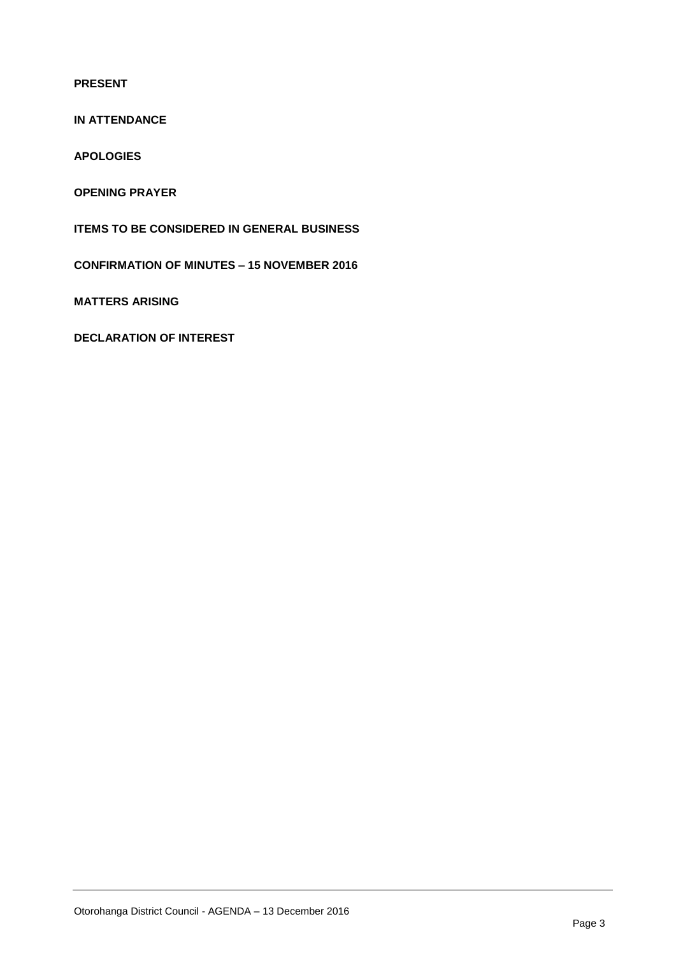**PRESENT**

**IN ATTENDANCE**

**APOLOGIES**

**OPENING PRAYER**

**ITEMS TO BE CONSIDERED IN GENERAL BUSINESS**

**CONFIRMATION OF MINUTES – 15 NOVEMBER 2016**

**MATTERS ARISING** 

**DECLARATION OF INTEREST**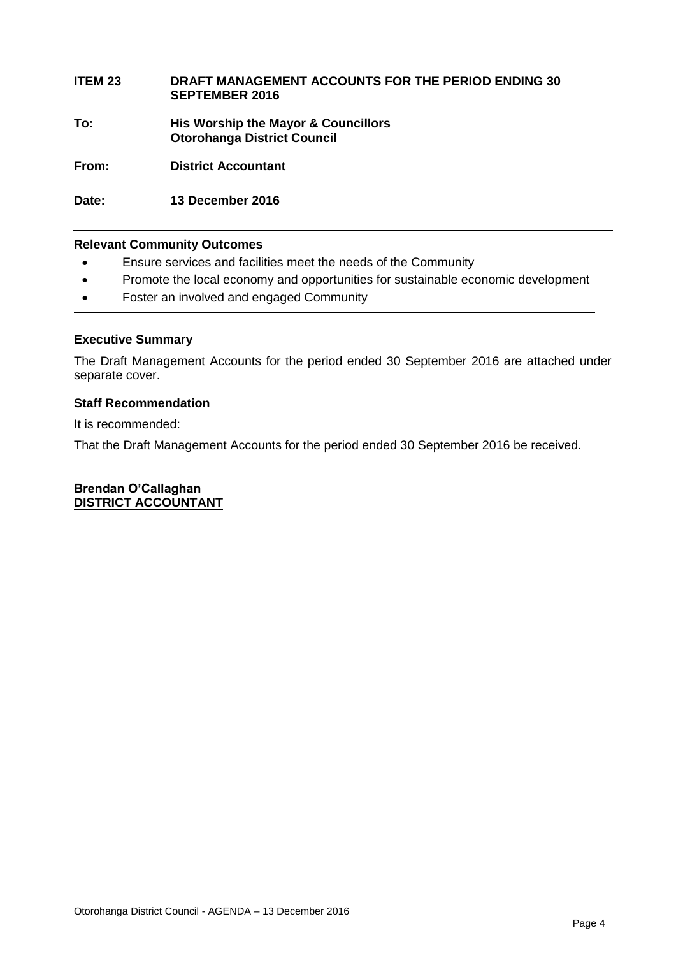#### **ITEM 23 DRAFT MANAGEMENT ACCOUNTS FOR THE PERIOD ENDING 30 SEPTEMBER 2016**

**To: His Worship the Mayor & Councillors Otorohanga District Council**

**From: District Accountant**

**Date: 13 December 2016**

#### **Relevant Community Outcomes**

- Ensure services and facilities meet the needs of the Community
- Promote the local economy and opportunities for sustainable economic development
- Foster an involved and engaged Community

#### **Executive Summary**

The Draft Management Accounts for the period ended 30 September 2016 are attached under separate cover.

#### **Staff Recommendation**

It is recommended:

That the Draft Management Accounts for the period ended 30 September 2016 be received.

**Brendan O'Callaghan DISTRICT ACCOUNTANT**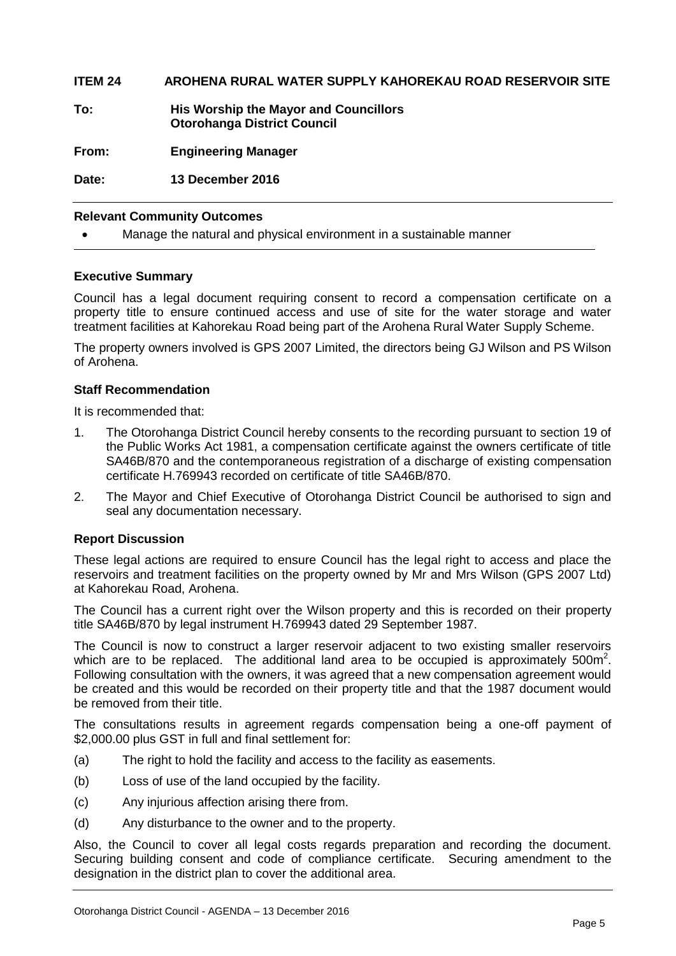#### **ITEM 24 AROHENA RURAL WATER SUPPLY KAHOREKAU ROAD RESERVOIR SITE**

**To: His Worship the Mayor and Councillors Otorohanga District Council**

**From: Engineering Manager**

**Date: 13 December 2016**

#### **Relevant Community Outcomes**

Manage the natural and physical environment in a sustainable manner

#### **Executive Summary**

Council has a legal document requiring consent to record a compensation certificate on a property title to ensure continued access and use of site for the water storage and water treatment facilities at Kahorekau Road being part of the Arohena Rural Water Supply Scheme.

The property owners involved is GPS 2007 Limited, the directors being GJ Wilson and PS Wilson of Arohena.

#### **Staff Recommendation**

It is recommended that:

- 1. The Otorohanga District Council hereby consents to the recording pursuant to section 19 of the Public Works Act 1981, a compensation certificate against the owners certificate of title SA46B/870 and the contemporaneous registration of a discharge of existing compensation certificate H.769943 recorded on certificate of title SA46B/870.
- 2. The Mayor and Chief Executive of Otorohanga District Council be authorised to sign and seal any documentation necessary.

#### **Report Discussion**

These legal actions are required to ensure Council has the legal right to access and place the reservoirs and treatment facilities on the property owned by Mr and Mrs Wilson (GPS 2007 Ltd) at Kahorekau Road, Arohena.

The Council has a current right over the Wilson property and this is recorded on their property title SA46B/870 by legal instrument H.769943 dated 29 September 1987.

The Council is now to construct a larger reservoir adjacent to two existing smaller reservoirs which are to be replaced. The additional land area to be occupied is approximately  $500m^2$ . Following consultation with the owners, it was agreed that a new compensation agreement would be created and this would be recorded on their property title and that the 1987 document would be removed from their title.

The consultations results in agreement regards compensation being a one-off payment of \$2,000.00 plus GST in full and final settlement for:

- (a) The right to hold the facility and access to the facility as easements.
- (b) Loss of use of the land occupied by the facility.
- (c) Any injurious affection arising there from.
- (d) Any disturbance to the owner and to the property.

Also, the Council to cover all legal costs regards preparation and recording the document. Securing building consent and code of compliance certificate. Securing amendment to the designation in the district plan to cover the additional area.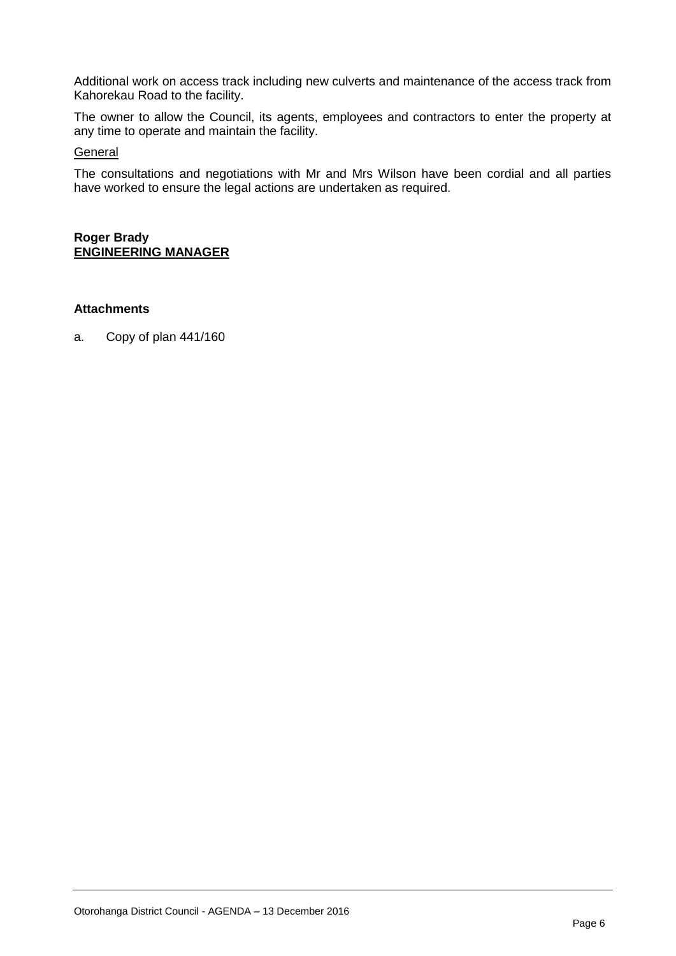Additional work on access track including new culverts and maintenance of the access track from Kahorekau Road to the facility.

The owner to allow the Council, its agents, employees and contractors to enter the property at any time to operate and maintain the facility.

#### General

The consultations and negotiations with Mr and Mrs Wilson have been cordial and all parties have worked to ensure the legal actions are undertaken as required.

#### **Roger Brady ENGINEERING MANAGER**

#### **Attachments**

a. Copy of plan 441/160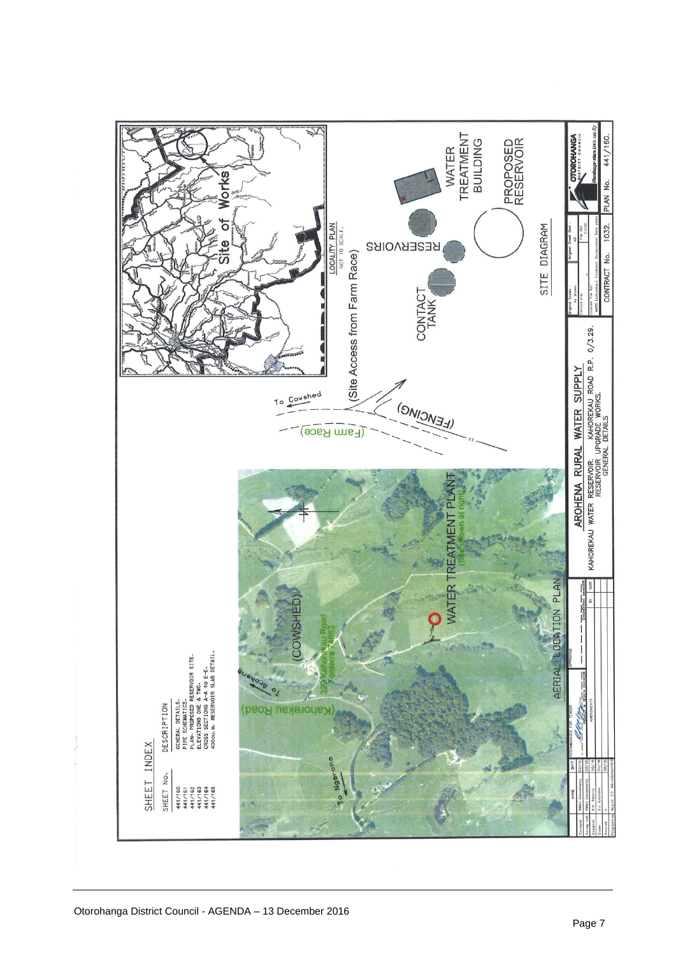